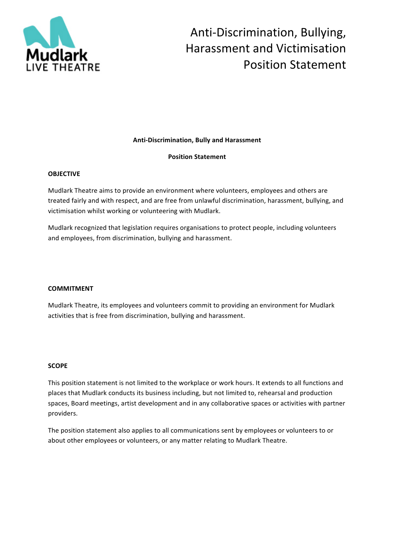

# Anti-Discrimination, Bullying, Harassment and Victimisation Position Statement

## **Anti-Discrimination, Bully and Harassment**

## **Position Statement**

### **OBJECTIVE**

Mudlark Theatre aims to provide an environment where volunteers, employees and others are treated fairly and with respect, and are free from unlawful discrimination, harassment, bullying, and victimisation whilst working or volunteering with Mudlark.

Mudlark recognized that legislation requires organisations to protect people, including volunteers and employees, from discrimination, bullying and harassment.

## **COMMITMENT**

Mudlark Theatre, its employees and volunteers commit to providing an environment for Mudlark activities that is free from discrimination, bullying and harassment.

### **SCOPE**

This position statement is not limited to the workplace or work hours. It extends to all functions and places that Mudlark conducts its business including, but not limited to, rehearsal and production spaces, Board meetings, artist development and in any collaborative spaces or activities with partner providers.

The position statement also applies to all communications sent by employees or volunteers to or about other employees or volunteers, or any matter relating to Mudlark Theatre.